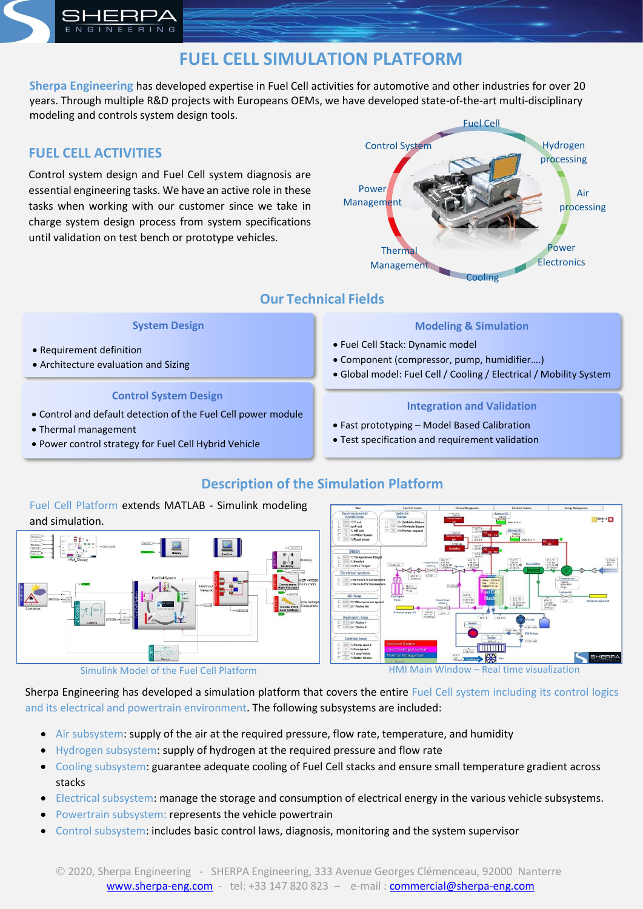## **FUEL CELL SIMULATION PLATFORM**

**Sherpa Engineering** has developed expertise in Fuel Cell activities for automotive and other industries for over 20 years. Through multiple R&D projects with Europeans OEMs, we have developed state-of-the-art multi-disciplinary modeling and controls system design tools.

#### **FUEL CELL ACTIVITIES**

INEERING

Control system design and Fuel Cell system diagnosis are essential engineering tasks. We have an active role in these tasks when working with our customer since we take in charge system design process from system specifications until validation on test bench or prototype vehicles.



## **Our Technical Fields**

#### **System Design**

- Requirement definition
- Architecture evaluation and Sizing

#### **Control System Design**

- Control and default detection of the Fuel Cell power module
- Thermal management
- Power control strategy for Fuel Cell Hybrid Vehicle

#### **Modeling & Simulation**

- Fuel Cell Stack: Dynamic model
- Component (compressor, pump, humidifier….)
- Global model: Fuel Cell / Cooling / Electrical / Mobility System

#### **Integration and Validation**

- Fast prototyping Model Based Calibration
- Test specification and requirement validation

## **Description of the Simulation Platform**

# Fuel Cell Platform extends MATLAB - Simulink modeling  $00.01:4$ and simulation.

Simulink Model of the Fuel Cell Platform **HMI Main Window – Real time visualization** 

Sherpa Engineering has developed a simulation platform that covers the entire Fuel Cell system including its control logics and its electrical and powertrain environment. The following subsystems are included:

- Air subsystem: supply of the air at the required pressure, flow rate, temperature, and humidity
- Hydrogen subsystem: supply of hydrogen at the required pressure and flow rate
- Cooling subsystem: guarantee adequate cooling of Fuel Cell stacks and ensure small temperature gradient across stacks
- Electrical subsystem: manage the storage and consumption of electrical energy in the various vehicle subsystems.
- Powertrain subsystem: represents the vehicle powertrain
- Control subsystem: includes basic control laws, diagnosis, monitoring and the system supervisor